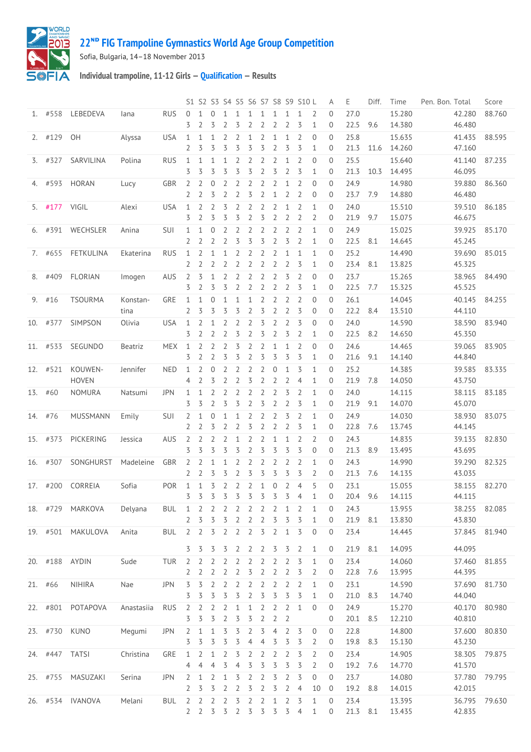

## **ᴺᴰ [FIG Trampoline Gymnastics World Age Group Competition](http://192.168.1.7:9001/event)**

Sofia, Bulgaria, 14–18 November 2013

**Individual trampoline, 11-12 Girls — [Qualification](http://192.168.1.7:9001/stage/13) — Results**

|         |               |                   |            |            |                   |                   |                     |                |                |                     |                     |                                |                                  | S1 S2 S3 S4 S5 S6 S7 S8 S9 S10 L |                               | Α                            | Ε            | Diff. | Time             | Pen. Bon. Total  | Score         |
|---------|---------------|-------------------|------------|------------|-------------------|-------------------|---------------------|----------------|----------------|---------------------|---------------------|--------------------------------|----------------------------------|----------------------------------|-------------------------------|------------------------------|--------------|-------|------------------|------------------|---------------|
|         | 1. #558       | LEBEDEVA          | lana       | <b>RUS</b> | $\Omega$<br>3     | $\mathbf{1}$<br>2 | $\overline{0}$<br>3 | 1<br>2         | 1<br>3         | 1<br>2              | 1<br>2              | 1<br>2                         | 1<br>$\overline{2}$              | $\mathbf{1}$<br>3                | 2<br>$\mathbf{1}$             | $\Omega$<br>0                | 27.0<br>22.5 | 9.6   | 15.280<br>14.380 | 42.280<br>46.480 | 88.760        |
|         |               |                   |            |            |                   |                   |                     |                |                |                     |                     |                                |                                  |                                  |                               |                              |              |       |                  |                  |               |
|         | 2. #129 OH    |                   | Alyssa     | <b>USA</b> | $\mathbf{1}$<br>2 | 1<br>3            | 1<br>3              | 2<br>3         | 2<br>3         | 1<br>3              | $\overline{2}$<br>3 | $\mathbf{1}$<br>$\overline{2}$ | $\mathbf{1}$<br>3                | $\overline{2}$<br>3              | $\overline{0}$<br>1           | $\Omega$<br>0                | 25.8<br>21.3 | 11.6  | 15.635<br>14.260 | 41.435<br>47.160 | 88.595        |
|         | $3.$ #327     | SARVILINA         | Polina     | <b>RUS</b> | $\mathbf{1}$      | 1                 | 1                   | 1              | 2              | 2                   | 2                   | 2                              | $\mathbf{1}$                     | $\overline{2}$                   | $\overline{0}$                | 0                            | 25.5         |       | 15.640           | 41.140           | 87.235        |
|         |               |                   |            |            | 3                 | 3                 | 3                   | 3              | 3              | 3                   | $\overline{2}$      | 3                              | $\overline{2}$                   | 3                                | $\mathbf{1}$                  | 0                            | 21.3         | 10.3  | 14.495           | 46.095           |               |
|         | 4. #593       | HORAN             | Lucy       | GBR        | 2                 | 2                 | $\mathbf 0$         | 2              | 2              | 2                   | 2                   | 2                              | $\mathbf 1$                      | $\overline{2}$                   | $\Omega$                      | 0                            | 24.9         |       | 14.980           | 39.880           | 86.360        |
|         |               |                   |            |            | 2                 | 2                 | 3                   | 2              | $\overline{2}$ | 3                   | $\overline{2}$      | $\mathbf{1}$                   | $\overline{2}$                   | $\overline{2}$                   | $\mathbf{0}$                  | $\overline{0}$               | 23.7         | 7.9   | 14.880           | 46.480           |               |
|         | 5. #177 VIGIL |                   | Alexi      | <b>USA</b> | $\mathbf{1}$      | $\overline{2}$    | $\overline{2}$      | 3              | $\overline{2}$ | $\overline{2}$      | $\overline{2}$      | 2                              | 1                                | $\overline{2}$                   | $\mathbf{1}$                  | $\Omega$                     | 24.0         |       | 15.510           | 39.510           | 86.185        |
|         |               |                   |            |            | 3                 | 2                 | 3                   | 3              | 3              | 2                   | 3                   | 2                              | $\overline{2}$                   | 2                                | 2                             | 0                            | 21.9         | 9.7   | 15.075           | 46.675           |               |
| 6.      | #391          | WECHSLER          | Anina      | SUI        | 1                 | 1                 | $\overline{0}$      | 2              | 2              | 2                   | 2                   | 2                              | 2                                | 2                                | $\mathbf{1}$                  | 0                            | 24.9         |       | 15.025           | 39.925           | 85.170        |
|         |               |                   |            |            | 2                 | 2                 | 2                   | 2              | 3              | 3                   | 3                   | $\overline{2}$                 | 3                                | $\overline{2}$                   | $\mathbf{1}$                  | 0                            | 22.5         | 8.1   | 14.645           | 45.245           |               |
|         | 7. #655       | FETKULINA         | Ekaterina  | <b>RUS</b> | $\mathbf{1}$<br>2 | 2<br>2            | $\mathbf{1}$<br>2   | 1<br>2         | 2<br>2         | 2<br>2              | 2<br>$\overline{2}$ | 2<br>2                         | $\mathbf 1$<br>$\overline{2}$    | $\mathbf{1}$<br>3                | 1<br>$\mathbf{1}$             | $\mathbf{0}$<br>$\mathbf{0}$ | 25.2<br>23.4 | 8.1   | 14.490<br>13.825 | 39.690<br>45.325 | 85.015        |
|         | 8. #409       | <b>FLORIAN</b>    | Imogen     | AUS        | 2                 | 3                 | $\mathbf{1}$        | $\overline{2}$ | 2              | $\overline{2}$      | $\overline{2}$      | $\overline{2}$                 | 3                                | $\overline{2}$                   | $\mathbf{0}$                  | $\Omega$                     | 23.7         |       | 15.265           | 38.965           | 84.490        |
|         |               |                   |            |            | 3                 | 2                 | 3                   | 3              | 2              | 2                   | 2                   | 2                              | $\overline{2}$                   | 3                                | 1                             | $\Omega$                     | 22.5         | 7.7   | 15.325           | 45.525           |               |
| 9.      | #16           | <b>TSOURMA</b>    | Konstan-   | GRE        | $\mathbf{1}$      | $\mathbf{1}$      | $\overline{0}$      | $\mathbf{1}$   | 1              | 1                   | $\overline{2}$      | 2                              | $\overline{2}$                   | $\overline{2}$                   | $\Omega$                      | 0                            | 26.1         |       | 14.045           | 40.145           | 84.255        |
|         |               |                   | tina       |            | 2                 | 3                 | 3                   | 3              | 3              | 2                   | 3                   | $\overline{2}$                 | $\overline{2}$                   | 3                                | $\mathbf 0$                   | 0                            | 22.2         | 8.4   | 13.510           | 44.110           |               |
|         | 10. #377      | SIMPSON           | Olivia     | <b>USA</b> | $\mathbf{1}$      | 2                 | 1                   | 2              | 2              | 2                   | 3                   | 2                              | 2                                | 3                                | $\mathbf{0}$                  | 0                            | 24.0         |       | 14.590           | 38.590           | 83.940        |
|         |               |                   |            |            | 3                 | 2                 | 2                   | 2              | 3              | $\overline{2}$      | 3                   | $\overline{2}$                 | 3                                | $\overline{2}$                   | 1                             | $\theta$                     | 22.5         | 8.2   | 14.650           | 45.350           |               |
|         | 11. #533      | SEGUNDO           | Beatriz    | <b>MEX</b> | $\mathbf{1}$      | 2                 | 2                   | $\overline{2}$ | 3              | 2                   | 2                   | 1                              | $\mathbf{1}$                     | 2                                | $\mathbf{0}$                  | $\Omega$                     | 24.6         |       | 14.465           | 39.065           | 83.905        |
|         |               |                   |            |            | 3                 | 2                 | 2                   | 3              | 3              | 2                   | 3                   | 3                              | 3                                | 3                                | $\mathbf{1}$                  | 0                            | 21.6         | 9.1   | 14.140           | 44.840           |               |
|         | 12. #521      | KOUWEN-           | Jennifer   | <b>NED</b> | $\mathbf{1}$      | 2                 | $\overline{0}$      | 2              | 2              | $\overline{2}$      | 2                   | $\overline{0}$                 | 1                                | 3                                | $\mathbf{1}$                  | 0                            | 25.2         |       | 14.385           | 39.585           | 83.335        |
|         |               | <b>HOVEN</b>      |            |            | 4                 | 2                 | 3                   | 2              | 2              | 3                   | 2                   | 2                              | 2                                | $\overline{4}$                   | $\mathbf{1}$                  | 0                            | 21.9         | 7.8   | 14.050           | 43.750           |               |
|         | 13. #60       | <b>NOMURA</b>     | Natsumi    | JPN        | 1                 | 1                 | 2                   | 2              | 2              | 2                   | 2                   | 2                              | 3                                | 2                                | $\mathbf{1}$                  | $\mathbf{0}$                 | 24.0         |       | 14.115           | 38.115           | 83.185        |
|         |               |                   |            |            | 3                 | 3                 | $\overline{2}$      | 3              | 3              | 2                   | 3                   | $\overline{2}$                 | $\overline{2}$                   | 3                                | $\mathbf{1}$                  | $\mathbf{0}$                 | 21.9         | 9.1   | 14.070           | 45.070           |               |
| 14. #76 |               | MUSSMANN          | Emily      | SUI        | 2                 | 1                 | $\theta$            | $\mathbf 1$    | 1              | $\overline{2}$      | $\overline{2}$      | $\overline{2}$                 | 3                                | $\overline{2}$                   | $\mathbf{1}$                  | $\Omega$                     | 24.9         |       | 14.030           | 38.930           | 83.075        |
|         |               |                   |            |            | 2                 | 2                 | 3                   | 2              | 2              | 3                   | 2                   | 2                              | $\overline{2}$                   | 3                                | $\mathbf{1}$                  | 0                            | 22.8         | 7.6   | 13.745           | 44.145           |               |
|         | 15. #373      | PICKERING         | Jessica    | AUS        | 2<br>3            | 2<br>3            | 2<br>3              | 2<br>3         | 1<br>3         | 2<br>$\overline{2}$ | 2<br>3              | $\mathbf{1}$<br>3              | $\mathbf{1}$<br>3                | $\overline{2}$<br>3              | $\overline{2}$<br>$\mathbf 0$ | 0<br>0                       | 24.3<br>21.3 | 8.9   | 14.835<br>13.495 | 39.135<br>43.695 | 82.830        |
| 16.     | #307          | SONGHURST         | Madeleine  | GBR        | 2                 | 2                 | 1                   | $\mathbf{1}$   | 2              | 2                   | 2                   | 2                              | 2                                | 2                                | 1                             | 0                            | 24.3         |       | 14.990           | 39.290           | 82.325        |
|         |               |                   |            |            | 2                 | 2                 | 3                   | 3              | 2              | 3                   | 3                   | 3                              | 3                                | 3                                | 2                             | 0                            | 21.3         | 7.6   | 14.135           | 43.035           |               |
|         | 17. #200      | CORREIA           | Sofia      | <b>POR</b> | $\mathbf{1}$      | 1                 | $\overline{3}$      | $\overline{2}$ | $\overline{2}$ | $\overline{2}$      | $\mathbf{1}$        | $\mathbf 0$                    | $\overline{2}$                   | $\overline{4}$                   | 5                             | $\Omega$                     | 23.1         |       | 15.055           | 38.155           | 82.270        |
|         |               |                   |            |            | 3                 | 3                 | 3                   | $\overline{3}$ | $\overline{3}$ | $\overline{3}$      | $\overline{3}$      | $\overline{3}$                 | $\overline{3}$                   | $\overline{4}$                   | 1                             | 0                            | 20.4         | 9.6   | 14.115           | 44.115           |               |
|         |               | 18. #729 MARKOVA  | Delyana    | <b>BUL</b> | 1                 | 2                 | 2                   | 2              | $\overline{2}$ | 2                   | 2                   | 2                              | $\mathbf{1}$                     | 2                                | 1                             | 0                            | 24.3         |       | 13.955           |                  | 38.255 82.085 |
|         |               |                   |            |            | $\mathbf{2}$      | 3                 | 3                   | 3              | 2              | 2                   | 2                   | 3                              | 3                                | 3                                | $\mathbf{1}$                  | $\mathbf 0$                  | 21.9         | 8.1   | 13.830           | 43.830           |               |
|         |               | 19. #501 MAKULOVA | Anita      | <b>BUL</b> | 2 2               |                   | 3                   | $\overline{2}$ | $\overline{2}$ | $\overline{2}$      | 3                   | 2                              | $\mathbf{1}$                     | 3                                | 0                             | 0                            | 23.4         |       | 14.445           | 37.845           | 81.940        |
|         |               |                   |            |            | 3                 | 3                 | 3                   | 3              | 2              | 2                   | 2                   | 3                              | 3                                | 2                                | 1                             | $\mathbf{0}$                 | 21.9         | 8.1   | 14.095           | 44.095           |               |
|         |               | 20. #188 AYDIN    | Sude       | TUR        | 2                 | 2                 | 2                   | 2              | 2              | 2                   | 2                   | 2                              | 2                                | 3                                | $\mathbf{1}$                  | 0                            | 23.4         |       | 14.060           | 37.460           | 81.855        |
|         |               |                   |            |            | 2                 | 2                 | $\overline{2}$      | $\overline{2}$ | 2              | 3                   | 2                   | $\overline{2}$                 | $\overline{2}$                   | 3                                | $\overline{2}$                | 0                            | 22.8         | 7.6   | 13.995           | 44.395           |               |
|         | 21. #66       | <b>NIHIRA</b>     | Nae        | <b>JPN</b> | 3                 | 3                 | $\overline{2}$      | $\overline{2}$ | $\overline{2}$ | 2                   | 2                   | 2                              | $\overline{2}$                   | $\overline{2}$                   | $\mathbf{1}$                  | 0                            | 23.1         |       | 14.590           | 37.690           | 81.730        |
|         |               |                   |            |            | 3                 | 3                 | 3                   | 3              | 3              | $\overline{2}$      | 3                   | 3                              | 3                                | 3                                | $\mathbf{1}$                  | 0                            | 21.0         | 8.3   | 14.740           | 44.040           |               |
|         |               | 22. #801 POTAPOVA | Anastasiia | <b>RUS</b> | 2                 | 2                 | 2                   | 2              | 1              | 1                   | 2                   | 2                              | 2                                | 1                                | $\overline{0}$                | $\mathbf{0}$                 | 24.9         |       | 15.270           | 40.170           | 80.980        |
|         |               |                   |            |            | 3                 | 3                 | 3                   | 2              | 3              | 3                   | 2                   | 2                              | $\overline{2}$                   |                                  |                               | 0                            | 20.1         | 8.5   | 12.210           | 40.810           |               |
|         |               | 23. #730 KUNO     | Megumi     | <b>JPN</b> | 2                 | 1                 | $\mathbf{1}$        | 3              | 3              | 2                   | 3                   | $\overline{4}$                 | $\overline{2}$                   | 3                                | $\mathbf 0$                   | 0                            | 22.8         |       | 14.800           | 37.600           | 80.830        |
|         |               |                   |            |            | 3                 | 3                 | 3                   | 3              | 3              | 4                   | 4                   | 3                              | 3                                | 3                                | 2                             | 0                            | 19.8         | 8.3   | 15.130           | 43.230           |               |
|         |               | 24. #447 TATSI    | Christina  | GRE        | $\mathbf{1}$      | 2                 | $\mathbf{1}$        | 2              | 3              | 2                   | 2                   | 2                              | 2                                | 3                                | $\overline{2}$                | $\mathbf 0$                  | 23.4         |       | 14.905           | 38.305           | 79.875        |
|         |               |                   |            |            | 4                 | $\overline{4}$    | $\overline{4}$      | 3              | 4              | 3                   | 3                   | 3                              | 3                                | 3                                | 2                             | 0<br>$\mathbf{0}$            | 19.2         | - 7.6 | 14.770           | 41.570           |               |
|         |               | 25. #755 MASUZAKI | Serina     | <b>JPN</b> | 2<br>2            | 1<br>3            | 2<br>3              | 1<br>2         | 3<br>2         | 2<br>3              | 2<br>2              | 3<br>3                         | $\overline{2}$<br>$\overline{2}$ | 3<br>4                           | $\theta$<br>10                | $\overline{0}$               | 23.7<br>19.2 | 8.8   | 14.080<br>14.015 | 37.780<br>42.015 | 79.795        |
|         |               | 26. #534 IVANOVA  | Melani     | <b>BUL</b> | $\mathbf{2}$      | 2                 | $\overline{2}$      | $\overline{2}$ | 3              | $\overline{2}$      | $\overline{2}$      | $\mathbf{1}$                   | $\overline{2}$                   | 3                                | $\mathbf{1}$                  | 0                            | 23.4         |       | 13.395           | 36.795           | 79.630        |
|         |               |                   |            |            |                   | 2 <sub>2</sub>    | 3                   | $\overline{3}$ | 2              | $\overline{3}$      | $\overline{5}$      | 3                              | $\overline{5}$                   | $\overline{4}$                   | $\mathbf{1}$                  | 0                            | 21.3         | 8.1   | 13.435           | 42.835           |               |